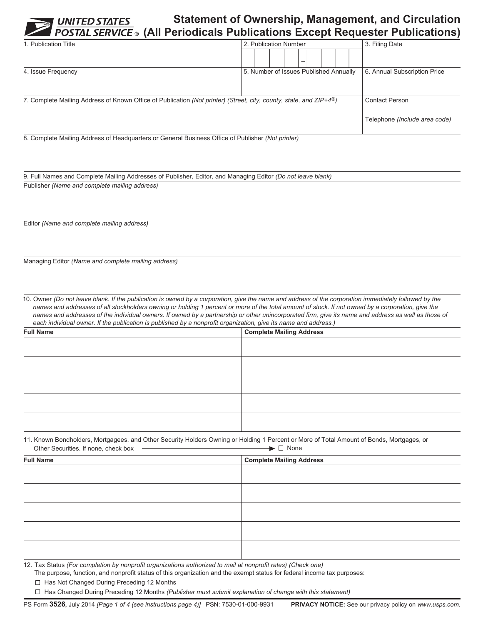## **Statement of Ownership, Management, and Circulation (All Periodicals Publications Except Requester Publications)**

| 1. Publication Title                                                                                                            | 2. Publication Number                  | 3. Filing Date                |
|---------------------------------------------------------------------------------------------------------------------------------|----------------------------------------|-------------------------------|
|                                                                                                                                 |                                        |                               |
| 4. Issue Frequency                                                                                                              | 5. Number of Issues Published Annually | 6. Annual Subscription Price  |
|                                                                                                                                 |                                        |                               |
|                                                                                                                                 |                                        |                               |
| 7. Complete Mailing Address of Known Office of Publication (Not printer) (Street, city, county, state, and ZIP+4 <sup>®</sup> ) | <b>Contact Person</b>                  |                               |
|                                                                                                                                 |                                        |                               |
|                                                                                                                                 |                                        | Telephone (Include area code) |
|                                                                                                                                 |                                        |                               |

8. Complete Mailing Address of Headquarters or General Business Office of Publisher *(Not printer)*

9. Full Names and Complete Mailing Addresses of Publisher, Editor, and Managing Editor *(Do not leave blank)* Publisher *(Name and complete mailing address)*

Editor *(Name and complete mailing address)*

Managing Editor *(Name and complete mailing address)*

10. Owner *(Do not leave blank. If the publication is owned by a corporation, give the name and address of the corporation immediately followed by the names and addresses of all stockholders owning or holding 1 percent or more of the total amount of stock. If not owned by a corporation, give the names and addresses of the individual owners. If owned by a partnership or other unincorporated firm, give its name and address as well as those of each individual owner. If the publication is published by a nonprofit organization, give its name and address.)*

| <b>Full Name</b> | <b>Complete Mailing Address</b> |
|------------------|---------------------------------|
|                  |                                 |
|                  |                                 |
|                  |                                 |
|                  |                                 |
|                  |                                 |

11. Known Bondholders, Mortgagees, and Other Security Holders Owning or Holding 1 Percent or More of Total Amount of Bonds, Mortgages, or Other Securities. If none, check box  $\blacktriangleright$   $\square$  None

| <b>Full Name</b>                                                                                             | <b>Complete Mailing Address</b> |  |  |
|--------------------------------------------------------------------------------------------------------------|---------------------------------|--|--|
|                                                                                                              |                                 |  |  |
|                                                                                                              |                                 |  |  |
|                                                                                                              |                                 |  |  |
|                                                                                                              |                                 |  |  |
|                                                                                                              |                                 |  |  |
|                                                                                                              |                                 |  |  |
|                                                                                                              |                                 |  |  |
|                                                                                                              |                                 |  |  |
|                                                                                                              |                                 |  |  |
|                                                                                                              |                                 |  |  |
| 12. Toy Ctatus (For completion by nonprofit ergonizations qutborized to mail of nonprofit rates) (Chaok ano) |                                 |  |  |

12.  Tax Status *(For completion by nonprofit organizations authorized to mail at nonprofit rates) (Check one)*

The purpose, function, and nonprofit status of this organization and the exempt status for federal income tax purposes:

 $\Box$  Has Not Changed During Preceding 12 Months

Has Changed During Preceding 12 Months *(Publisher must submit explanation of change with this statement)*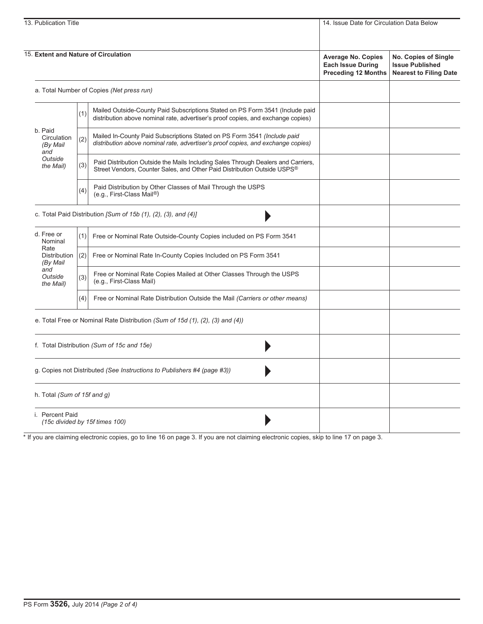| 13. Publication Title                     |                                                                | 14. Issue Date for Circulation Data Below                                                                                                                         |                                                                                     |                                                                                 |
|-------------------------------------------|----------------------------------------------------------------|-------------------------------------------------------------------------------------------------------------------------------------------------------------------|-------------------------------------------------------------------------------------|---------------------------------------------------------------------------------|
|                                           |                                                                |                                                                                                                                                                   |                                                                                     |                                                                                 |
| 15. Extent and Nature of Circulation      |                                                                |                                                                                                                                                                   | <b>Average No. Copies</b><br><b>Each Issue During</b><br><b>Preceding 12 Months</b> | No. Copies of Single<br><b>Issue Published</b><br><b>Nearest to Filing Date</b> |
|                                           | a. Total Number of Copies (Net press run)                      |                                                                                                                                                                   |                                                                                     |                                                                                 |
|                                           | (1)                                                            | Mailed Outside-County Paid Subscriptions Stated on PS Form 3541 (Include paid<br>distribution above nominal rate, advertiser's proof copies, and exchange copies) |                                                                                     |                                                                                 |
| b. Paid<br>Circulation<br>(By Mail<br>and | (2)                                                            | Mailed In-County Paid Subscriptions Stated on PS Form 3541 (Include paid<br>distribution above nominal rate, advertiser's proof copies, and exchange copies)      |                                                                                     |                                                                                 |
| Outside<br>the Mail)                      | (3)                                                            | Paid Distribution Outside the Mails Including Sales Through Dealers and Carriers,<br>Street Vendors, Counter Sales, and Other Paid Distribution Outside USPS®     |                                                                                     |                                                                                 |
|                                           | (4)                                                            | Paid Distribution by Other Classes of Mail Through the USPS<br>(e.g., First-Class Mail®)                                                                          |                                                                                     |                                                                                 |
|                                           | c. Total Paid Distribution [Sum of 15b (1), (2), (3), and (4)] |                                                                                                                                                                   |                                                                                     |                                                                                 |
| d. Free or<br>Nominal                     | (1)                                                            | Free or Nominal Rate Outside-County Copies included on PS Form 3541                                                                                               |                                                                                     |                                                                                 |
| Rate<br>Distribution<br>(By Mail          | (2)                                                            | Free or Nominal Rate In-County Copies Included on PS Form 3541                                                                                                    |                                                                                     |                                                                                 |
| and<br>Outside<br>the Mail)               | (3)                                                            | Free or Nominal Rate Copies Mailed at Other Classes Through the USPS<br>(e.g., First-Class Mail)                                                                  |                                                                                     |                                                                                 |
|                                           | (4)                                                            | Free or Nominal Rate Distribution Outside the Mail (Carriers or other means)                                                                                      |                                                                                     |                                                                                 |
|                                           |                                                                | e. Total Free or Nominal Rate Distribution (Sum of 15d (1), (2), (3) and (4))                                                                                     |                                                                                     |                                                                                 |
|                                           |                                                                | f. Total Distribution (Sum of 15c and 15e)                                                                                                                        |                                                                                     |                                                                                 |
|                                           |                                                                | g. Copies not Distributed (See Instructions to Publishers #4 (page #3))                                                                                           |                                                                                     |                                                                                 |
| h. Total (Sum of 15f and g)               |                                                                |                                                                                                                                                                   |                                                                                     |                                                                                 |
| i. Percent Paid                           |                                                                | (15c divided by 15f times 100)                                                                                                                                    |                                                                                     |                                                                                 |

\* If you are claiming electronic copies, go to line 16 on page 3. If you are not claiming electronic copies, skip to line 17 on page 3.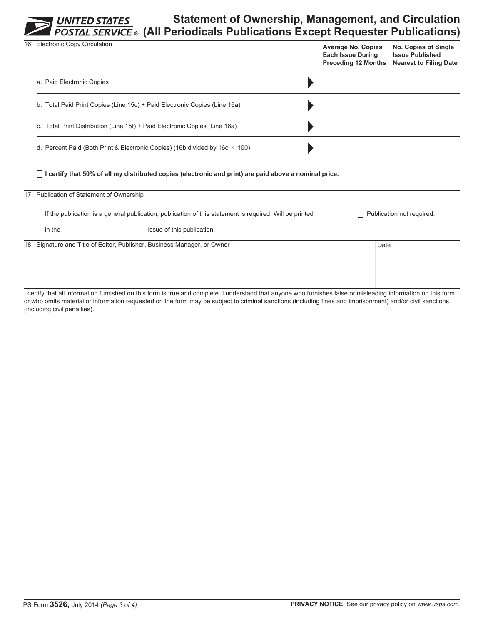**Statement of Ownership, Management, and Circulation (All Periodicals Publications Except Requester Publications)**

| 16. Electronic Copy Circulation                                                    | <b>Average No. Copies</b><br><b>Each Issue During</b><br><b>Preceding 12 Months</b> | No. Copies of Single<br><b>Issue Published</b><br><b>Nearest to Filing Date</b> |
|------------------------------------------------------------------------------------|-------------------------------------------------------------------------------------|---------------------------------------------------------------------------------|
| a. Paid Electronic Copies                                                          |                                                                                     |                                                                                 |
| b. Total Paid Print Copies (Line 15c) + Paid Electronic Copies (Line 16a)          |                                                                                     |                                                                                 |
| c. Total Print Distribution (Line 15f) + Paid Electronic Copies (Line 16a)         |                                                                                     |                                                                                 |
| d. Percent Paid (Both Print & Electronic Copies) (16b divided by 16c $\times$ 100) |                                                                                     |                                                                                 |

**I certify that 50% of all my distributed copies (electronic and print) are paid above a nominal price.**

## 17. Publication of Statement of Ownership

If the publication is a general publication, publication of this statement is required. Will be printed Publication not required.

in the **intervalue issue of this publication**.

18. Signature and Title of Editor, Publisher, Business Manager, or Owner Date

I certify that all information furnished on this form is true and complete. I understand that anyone who furnishes false or misleading information on this form or who omits material or information requested on the form may be subject to criminal sanctions (including fines and imprisonment) and/or civil sanctions (including civil penalties).